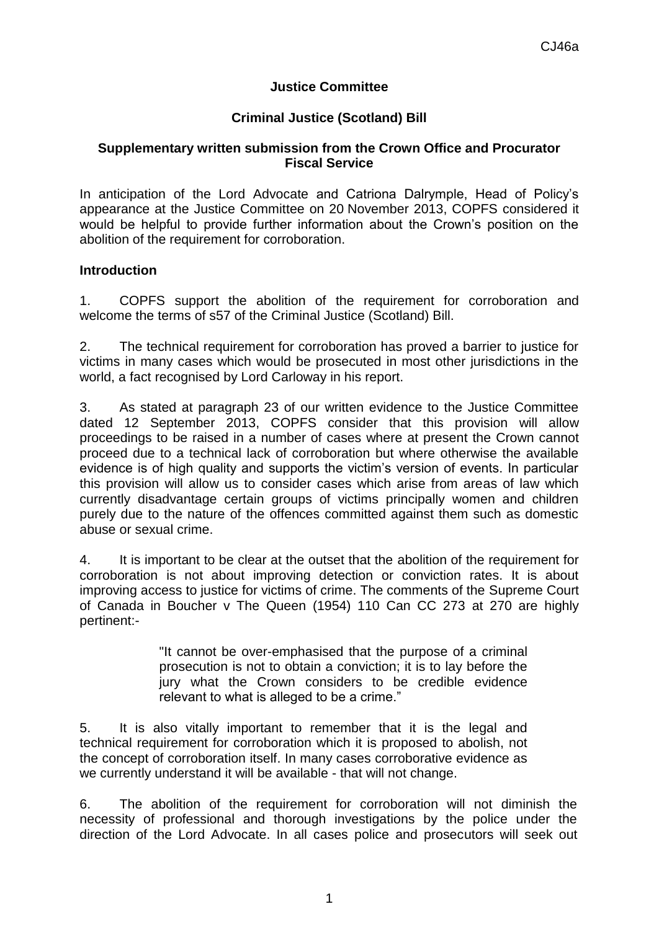# **Justice Committee**

# **Criminal Justice (Scotland) Bill**

# **Supplementary written submission from the Crown Office and Procurator Fiscal Service**

In anticipation of the Lord Advocate and Catriona Dalrymple, Head of Policy's appearance at the Justice Committee on 20 November 2013, COPFS considered it would be helpful to provide further information about the Crown's position on the abolition of the requirement for corroboration.

### **Introduction**

1. COPFS support the abolition of the requirement for corroboration and welcome the terms of s57 of the Criminal Justice (Scotland) Bill.

2. The technical requirement for corroboration has proved a barrier to justice for victims in many cases which would be prosecuted in most other jurisdictions in the world, a fact recognised by Lord Carloway in his report.

3. As stated at paragraph 23 of our written evidence to the Justice Committee dated 12 September 2013, COPFS consider that this provision will allow proceedings to be raised in a number of cases where at present the Crown cannot proceed due to a technical lack of corroboration but where otherwise the available evidence is of high quality and supports the victim's version of events. In particular this provision will allow us to consider cases which arise from areas of law which currently disadvantage certain groups of victims principally women and children purely due to the nature of the offences committed against them such as domestic abuse or sexual crime.

4. It is important to be clear at the outset that the abolition of the requirement for corroboration is not about improving detection or conviction rates. It is about improving access to justice for victims of crime. The comments of the Supreme Court of Canada in Boucher v The Queen (1954) 110 Can CC 273 at 270 are highly pertinent:-

> "It cannot be over-emphasised that the purpose of a criminal prosecution is not to obtain a conviction; it is to lay before the jury what the Crown considers to be credible evidence relevant to what is alleged to be a crime."

5. It is also vitally important to remember that it is the legal and technical requirement for corroboration which it is proposed to abolish, not the concept of corroboration itself. In many cases corroborative evidence as we currently understand it will be available - that will not change.

6. The abolition of the requirement for corroboration will not diminish the necessity of professional and thorough investigations by the police under the direction of the Lord Advocate. In all cases police and prosecutors will seek out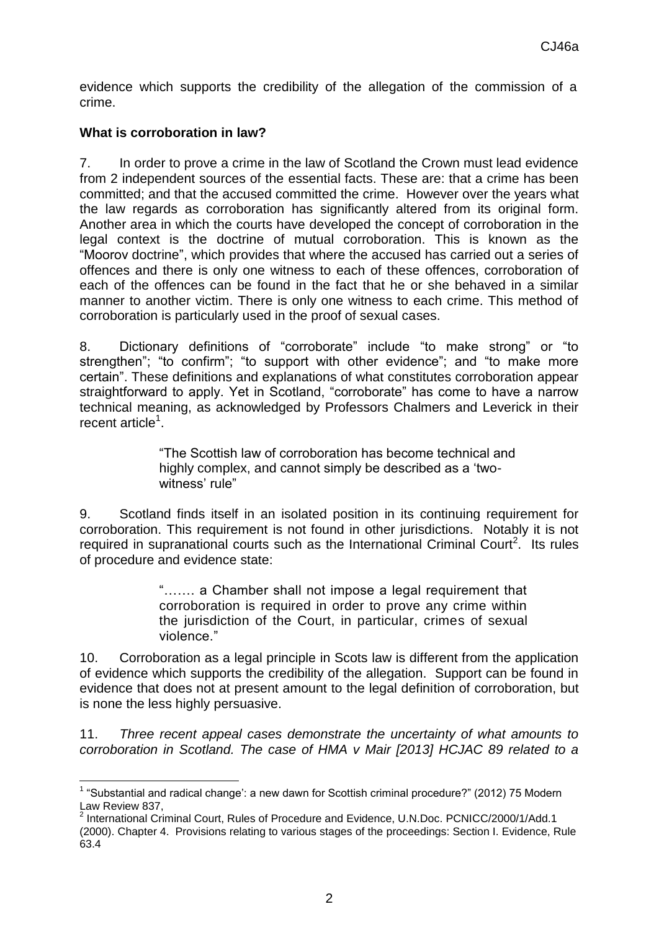evidence which supports the credibility of the allegation of the commission of a crime.

### **What is corroboration in law?**

<u>.</u>

7. In order to prove a crime in the law of Scotland the Crown must lead evidence from 2 independent sources of the essential facts. These are: that a crime has been committed; and that the accused committed the crime. However over the years what the law regards as corroboration has significantly altered from its original form. Another area in which the courts have developed the concept of corroboration in the legal context is the doctrine of mutual corroboration. This is known as the "Moorov doctrine", which provides that where the accused has carried out a series of offences and there is only one witness to each of these offences, corroboration of each of the offences can be found in the fact that he or she behaved in a similar manner to another victim. There is only one witness to each crime. This method of corroboration is particularly used in the proof of sexual cases.

8. Dictionary definitions of "corroborate" include "to make strong" or "to strengthen"; "to confirm"; "to support with other evidence"; and "to make more certain". These definitions and explanations of what constitutes corroboration appear straightforward to apply. Yet in Scotland, "corroborate" has come to have a narrow technical meaning, as acknowledged by Professors Chalmers and Leverick in their recent article<sup>1</sup>.

> "The Scottish law of corroboration has become technical and highly complex, and cannot simply be described as a 'twowitness' rule"

9. Scotland finds itself in an isolated position in its continuing requirement for corroboration. This requirement is not found in other jurisdictions. Notably it is not required in supranational courts such as the International Criminal Court<sup>2</sup>. Its rules of procedure and evidence state:

> "……. a Chamber shall not impose a legal requirement that corroboration is required in order to prove any crime within the jurisdiction of the Court, in particular, crimes of sexual violence."

10. Corroboration as a legal principle in Scots law is different from the application of evidence which supports the credibility of the allegation. Support can be found in evidence that does not at present amount to the legal definition of corroboration, but is none the less highly persuasive.

11. *Three recent appeal cases demonstrate the uncertainty of what amounts to corroboration in Scotland. The case of HMA v Mair [2013] HCJAC 89 related to a* 

 $1$  "Substantial and radical change': a new dawn for Scottish criminal procedure?" (2012) 75 Modern Law Review 837,

<sup>&</sup>lt;sup>2</sup> International Criminal Court, Rules of Procedure and Evidence, U.N.Doc. PCNICC/2000/1/Add.1 (2000). Chapter 4. Provisions relating to various stages of the proceedings: Section I. Evidence, Rule 63.4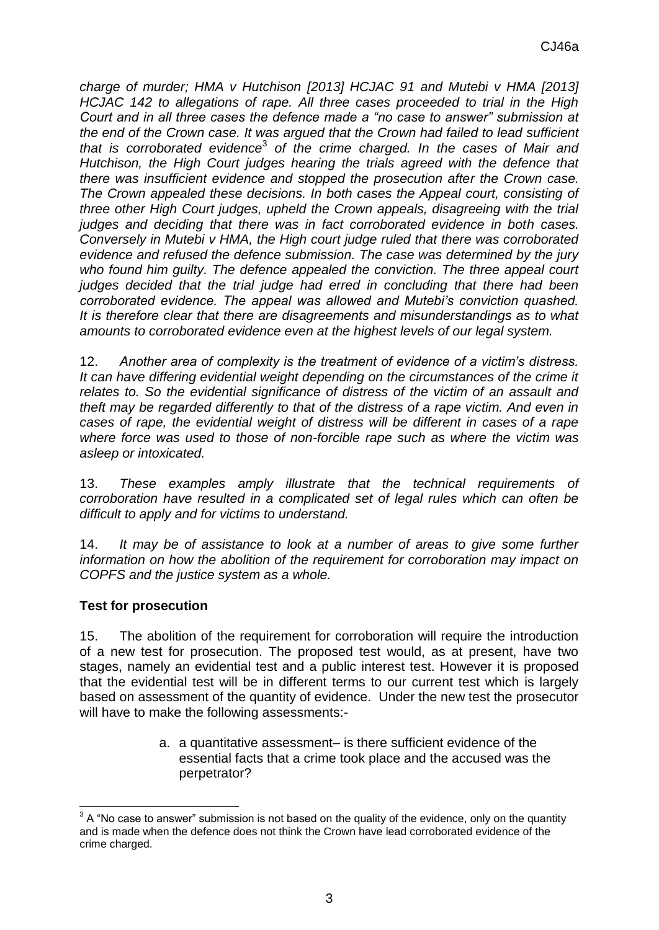*charge of murder; HMA v Hutchison [2013] HCJAC 91 and Mutebi v HMA [2013] HCJAC 142 to allegations of rape. All three cases proceeded to trial in the High Court and in all three cases the defence made a "no case to answer" submission at the end of the Crown case. It was argued that the Crown had failed to lead sufficient*  that is corroborated evidence<sup>3</sup> of the crime charged. In the cases of Mair and *Hutchison, the High Court judges hearing the trials agreed with the defence that there was insufficient evidence and stopped the prosecution after the Crown case. The Crown appealed these decisions. In both cases the Appeal court, consisting of three other High Court judges, upheld the Crown appeals, disagreeing with the trial judges and deciding that there was in fact corroborated evidence in both cases. Conversely in Mutebi v HMA, the High court judge ruled that there was corroborated evidence and refused the defence submission. The case was determined by the jury who found him guilty. The defence appealed the conviction. The three appeal court judges decided that the trial judge had erred in concluding that there had been corroborated evidence. The appeal was allowed and Mutebi's conviction quashed. It is therefore clear that there are disagreements and misunderstandings as to what amounts to corroborated evidence even at the highest levels of our legal system.*

12. *Another area of complexity is the treatment of evidence of a victim's distress. It can have differing evidential weight depending on the circumstances of the crime it relates to. So the evidential significance of distress of the victim of an assault and theft may be regarded differently to that of the distress of a rape victim. And even in cases of rape, the evidential weight of distress will be different in cases of a rape where force was used to those of non-forcible rape such as where the victim was asleep or intoxicated.* 

13. *These examples amply illustrate that the technical requirements of corroboration have resulted in a complicated set of legal rules which can often be difficult to apply and for victims to understand.* 

14. *It may be of assistance to look at a number of areas to give some further information on how the abolition of the requirement for corroboration may impact on COPFS and the justice system as a whole.*

# **Test for prosecution**

15. The abolition of the requirement for corroboration will require the introduction of a new test for prosecution. The proposed test would, as at present, have two stages, namely an evidential test and a public interest test. However it is proposed that the evidential test will be in different terms to our current test which is largely based on assessment of the quantity of evidence. Under the new test the prosecutor will have to make the following assessments:-

> a. a quantitative assessment– is there sufficient evidence of the essential facts that a crime took place and the accused was the perpetrator?

<sup>1</sup>  $3$  A "No case to answer" submission is not based on the quality of the evidence, only on the quantity and is made when the defence does not think the Crown have lead corroborated evidence of the crime charged.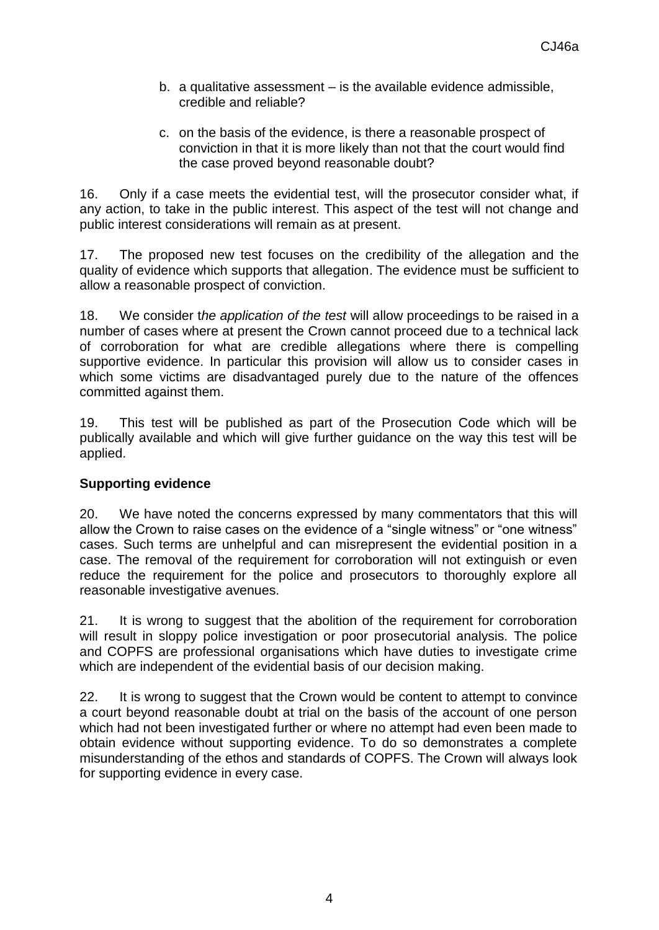- b. a qualitative assessment is the available evidence admissible, credible and reliable?
- c. on the basis of the evidence, is there a reasonable prospect of conviction in that it is more likely than not that the court would find the case proved beyond reasonable doubt?

16. Only if a case meets the evidential test, will the prosecutor consider what, if any action, to take in the public interest. This aspect of the test will not change and public interest considerations will remain as at present.

17. The proposed new test focuses on the credibility of the allegation and the quality of evidence which supports that allegation. The evidence must be sufficient to allow a reasonable prospect of conviction.

18. We consider t*he application of the test* will allow proceedings to be raised in a number of cases where at present the Crown cannot proceed due to a technical lack of corroboration for what are credible allegations where there is compelling supportive evidence. In particular this provision will allow us to consider cases in which some victims are disadvantaged purely due to the nature of the offences committed against them.

19. This test will be published as part of the Prosecution Code which will be publically available and which will give further guidance on the way this test will be applied.

# **Supporting evidence**

20. We have noted the concerns expressed by many commentators that this will allow the Crown to raise cases on the evidence of a "single witness" or "one witness" cases. Such terms are unhelpful and can misrepresent the evidential position in a case. The removal of the requirement for corroboration will not extinguish or even reduce the requirement for the police and prosecutors to thoroughly explore all reasonable investigative avenues.

21. It is wrong to suggest that the abolition of the requirement for corroboration will result in sloppy police investigation or poor prosecutorial analysis. The police and COPFS are professional organisations which have duties to investigate crime which are independent of the evidential basis of our decision making.

22. It is wrong to suggest that the Crown would be content to attempt to convince a court beyond reasonable doubt at trial on the basis of the account of one person which had not been investigated further or where no attempt had even been made to obtain evidence without supporting evidence. To do so demonstrates a complete misunderstanding of the ethos and standards of COPFS. The Crown will always look for supporting evidence in every case.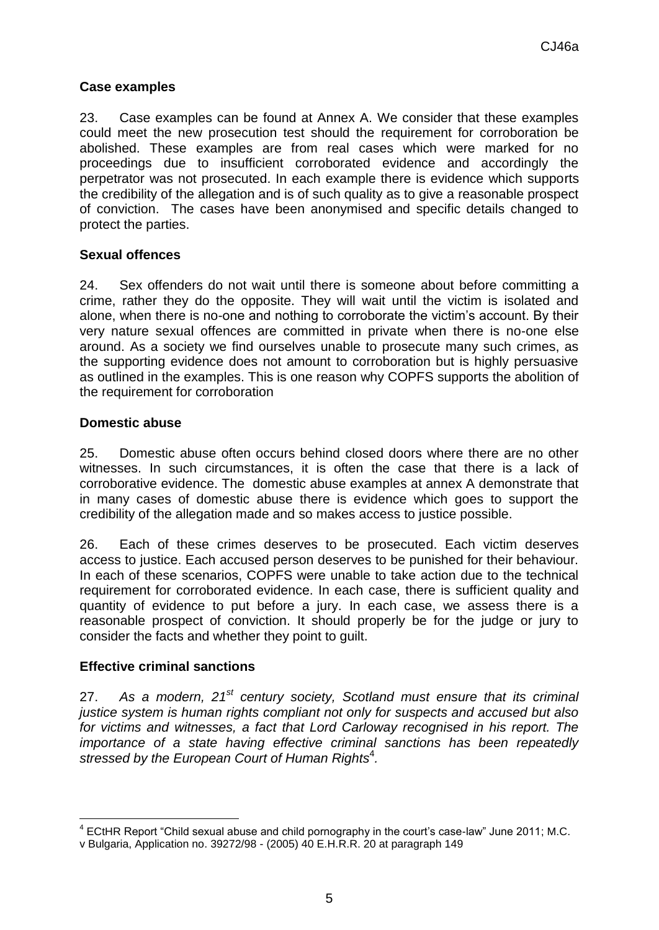# **Case examples**

23. Case examples can be found at Annex A. We consider that these examples could meet the new prosecution test should the requirement for corroboration be abolished. These examples are from real cases which were marked for no proceedings due to insufficient corroborated evidence and accordingly the perpetrator was not prosecuted. In each example there is evidence which supports the credibility of the allegation and is of such quality as to give a reasonable prospect of conviction. The cases have been anonymised and specific details changed to protect the parties.

#### **Sexual offences**

24. Sex offenders do not wait until there is someone about before committing a crime, rather they do the opposite. They will wait until the victim is isolated and alone, when there is no-one and nothing to corroborate the victim's account. By their very nature sexual offences are committed in private when there is no-one else around. As a society we find ourselves unable to prosecute many such crimes, as the supporting evidence does not amount to corroboration but is highly persuasive as outlined in the examples. This is one reason why COPFS supports the abolition of the requirement for corroboration

#### **Domestic abuse**

25. Domestic abuse often occurs behind closed doors where there are no other witnesses. In such circumstances, it is often the case that there is a lack of corroborative evidence. The domestic abuse examples at annex A demonstrate that in many cases of domestic abuse there is evidence which goes to support the credibility of the allegation made and so makes access to justice possible.

26. Each of these crimes deserves to be prosecuted. Each victim deserves access to justice. Each accused person deserves to be punished for their behaviour. In each of these scenarios, COPFS were unable to take action due to the technical requirement for corroborated evidence. In each case, there is sufficient quality and quantity of evidence to put before a jury. In each case, we assess there is a reasonable prospect of conviction. It should properly be for the judge or jury to consider the facts and whether they point to guilt.

#### **Effective criminal sanctions**

1

27. *As a modern, 21st century society, Scotland must ensure that its criminal justice system is human rights compliant not only for suspects and accused but also for victims and witnesses, a fact that Lord Carloway recognised in his report. The importance of a state having effective criminal sanctions has been repeatedly*  stressed by the European Court of Human Rights<sup>4</sup>.

 $4$  ECtHR Report "Child sexual abuse and child pornography in the court's case-law" June 2011; M.C.

v Bulgaria, Application no. 39272/98 - (2005) 40 E.H.R.R. 20 at paragraph 149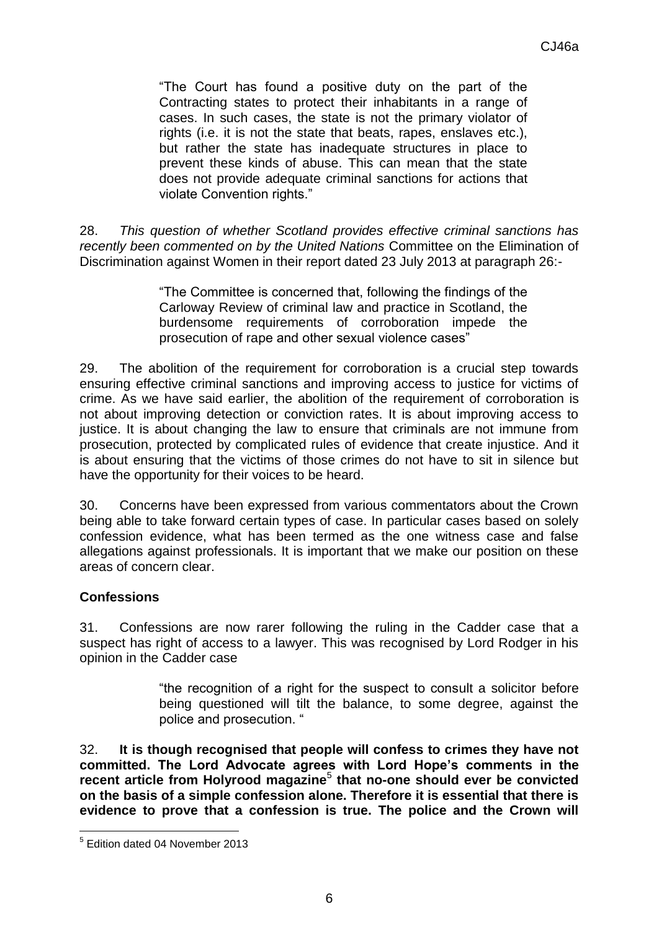"The Court has found a positive duty on the part of the Contracting states to protect their inhabitants in a range of cases. In such cases, the state is not the primary violator of rights (i.e. it is not the state that beats, rapes, enslaves etc.), but rather the state has inadequate structures in place to prevent these kinds of abuse. This can mean that the state does not provide adequate criminal sanctions for actions that violate Convention rights."

28. *This question of whether Scotland provides effective criminal sanctions has recently been commented on by the United Nations* Committee on the Elimination of Discrimination against Women in their report dated 23 July 2013 at paragraph 26:-

> "The Committee is concerned that, following the findings of the Carloway Review of criminal law and practice in Scotland, the burdensome requirements of corroboration impede the prosecution of rape and other sexual violence cases"

29. The abolition of the requirement for corroboration is a crucial step towards ensuring effective criminal sanctions and improving access to justice for victims of crime. As we have said earlier, the abolition of the requirement of corroboration is not about improving detection or conviction rates. It is about improving access to justice. It is about changing the law to ensure that criminals are not immune from prosecution, protected by complicated rules of evidence that create injustice. And it is about ensuring that the victims of those crimes do not have to sit in silence but have the opportunity for their voices to be heard.

30. Concerns have been expressed from various commentators about the Crown being able to take forward certain types of case. In particular cases based on solely confession evidence, what has been termed as the one witness case and false allegations against professionals. It is important that we make our position on these areas of concern clear.

# **Confessions**

31. Confessions are now rarer following the ruling in the Cadder case that a suspect has right of access to a lawyer. This was recognised by Lord Rodger in his opinion in the Cadder case

> "the recognition of a right for the suspect to consult a solicitor before being questioned will tilt the balance, to some degree, against the police and prosecution. "

32. **It is though recognised that people will confess to crimes they have not committed. The Lord Advocate agrees with Lord Hope's comments in the**  recent article from Holyrood magazine<sup>5</sup> that no-one should ever be convicted **on the basis of a simple confession alone. Therefore it is essential that there is evidence to prove that a confession is true. The police and the Crown will** 

 5 Edition dated 04 November 2013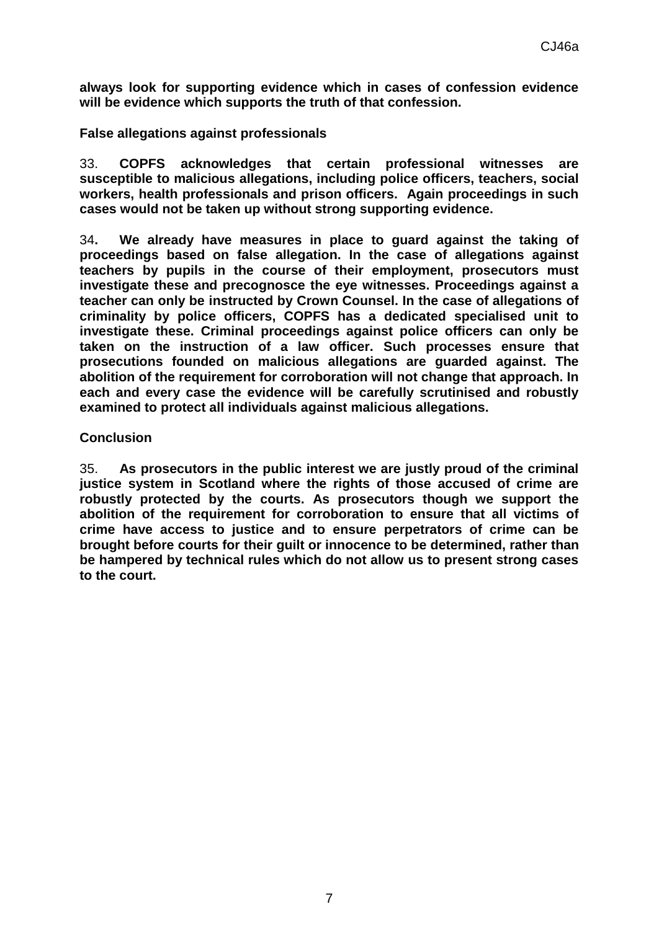**always look for supporting evidence which in cases of confession evidence will be evidence which supports the truth of that confession.** 

**False allegations against professionals**

33. **COPFS acknowledges that certain professional witnesses are susceptible to malicious allegations, including police officers, teachers, social workers, health professionals and prison officers. Again proceedings in such cases would not be taken up without strong supporting evidence.** 

34**. We already have measures in place to guard against the taking of proceedings based on false allegation. In the case of allegations against teachers by pupils in the course of their employment, prosecutors must investigate these and precognosce the eye witnesses. Proceedings against a teacher can only be instructed by Crown Counsel. In the case of allegations of criminality by police officers, COPFS has a dedicated specialised unit to investigate these. Criminal proceedings against police officers can only be taken on the instruction of a law officer. Such processes ensure that prosecutions founded on malicious allegations are guarded against. The abolition of the requirement for corroboration will not change that approach. In each and every case the evidence will be carefully scrutinised and robustly examined to protect all individuals against malicious allegations.**

#### **Conclusion**

35. **As prosecutors in the public interest we are justly proud of the criminal justice system in Scotland where the rights of those accused of crime are robustly protected by the courts. As prosecutors though we support the abolition of the requirement for corroboration to ensure that all victims of crime have access to justice and to ensure perpetrators of crime can be brought before courts for their guilt or innocence to be determined, rather than be hampered by technical rules which do not allow us to present strong cases to the court.**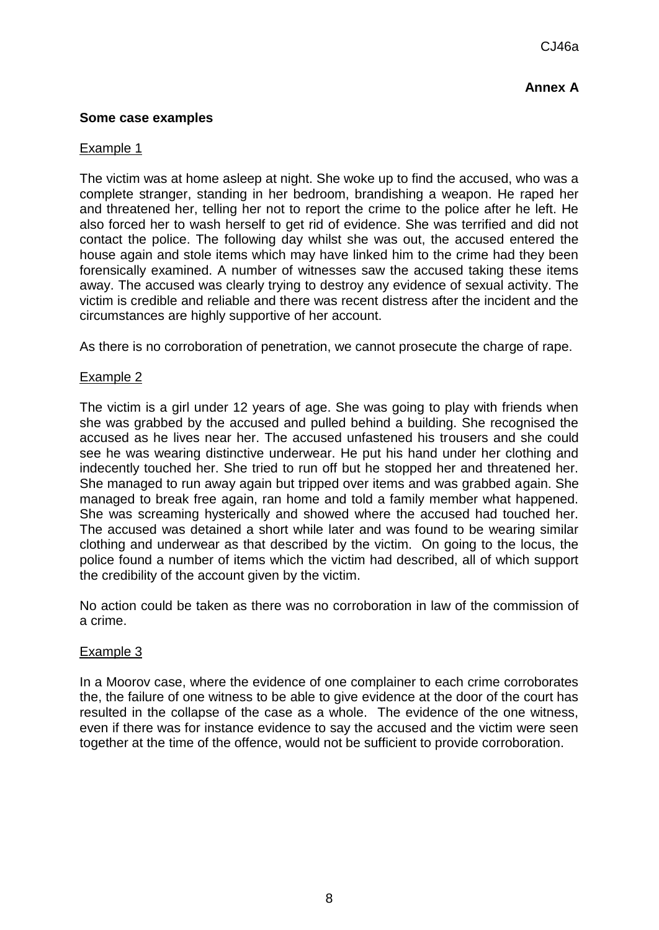# **Some case examples**

# Example 1

The victim was at home asleep at night. She woke up to find the accused, who was a complete stranger, standing in her bedroom, brandishing a weapon. He raped her and threatened her, telling her not to report the crime to the police after he left. He also forced her to wash herself to get rid of evidence. She was terrified and did not contact the police. The following day whilst she was out, the accused entered the house again and stole items which may have linked him to the crime had they been forensically examined. A number of witnesses saw the accused taking these items away. The accused was clearly trying to destroy any evidence of sexual activity. The victim is credible and reliable and there was recent distress after the incident and the circumstances are highly supportive of her account.

As there is no corroboration of penetration, we cannot prosecute the charge of rape.

### Example 2

The victim is a girl under 12 years of age. She was going to play with friends when she was grabbed by the accused and pulled behind a building. She recognised the accused as he lives near her. The accused unfastened his trousers and she could see he was wearing distinctive underwear. He put his hand under her clothing and indecently touched her. She tried to run off but he stopped her and threatened her. She managed to run away again but tripped over items and was grabbed again. She managed to break free again, ran home and told a family member what happened. She was screaming hysterically and showed where the accused had touched her. The accused was detained a short while later and was found to be wearing similar clothing and underwear as that described by the victim. On going to the locus, the police found a number of items which the victim had described, all of which support the credibility of the account given by the victim.

No action could be taken as there was no corroboration in law of the commission of a crime.

#### Example 3

In a Moorov case, where the evidence of one complainer to each crime corroborates the, the failure of one witness to be able to give evidence at the door of the court has resulted in the collapse of the case as a whole. The evidence of the one witness, even if there was for instance evidence to say the accused and the victim were seen together at the time of the offence, would not be sufficient to provide corroboration.